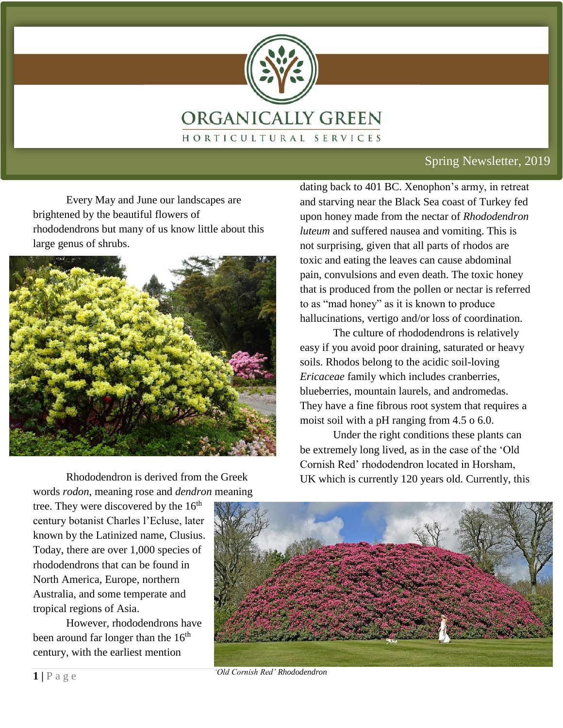

### Spring Newsletter, 2019

Every May and June our landscapes are brightened by the beautiful flowers of rhododendrons but many of us know little about this large genus of shrubs.



dating back to 401 BC. Xenophon's army, in retreat and starving near the Black Sea coast of Turkey fed upon honey made from the nectar of *Rhododendron luteum* and suffered nausea and vomiting. This is not surprising, given that all parts of rhodos are toxic and eating the leaves can cause abdominal pain, convulsions and even death. The toxic honey that is produced from the pollen or nectar is referred to as "mad honey" as it is known to produce hallucinations, vertigo and/or loss of coordination.

The culture of rhododendrons is relatively easy if you avoid poor draining, saturated or heavy soils. Rhodos belong to the acidic soil-loving *Ericaceae* family which includes cranberries, blueberries, mountain laurels, and andromedas. They have a fine fibrous root system that requires a moist soil with a pH ranging from 4.5 o 6.0.

Under the right conditions these plants can be extremely long lived, as in the case of the 'Old Cornish Red' rhododendron located in Horsham, UK which is currently 120 years old. Currently, this

Rhododendron is derived from the Greek words *rodon*, meaning rose and *dendron* meaning

tree. They were discovered by the  $16<sup>th</sup>$ century botanist Charles l'Ecluse, later known by the Latinized name, Clusius. Today, there are over 1,000 species of rhododendrons that can be found in North America, Europe, northern Australia, and some temperate and tropical regions of Asia.

However, rhododendrons have been around far longer than the  $16<sup>th</sup>$ century, with the earliest mention



*'Old Cornish Red' Rhododendron*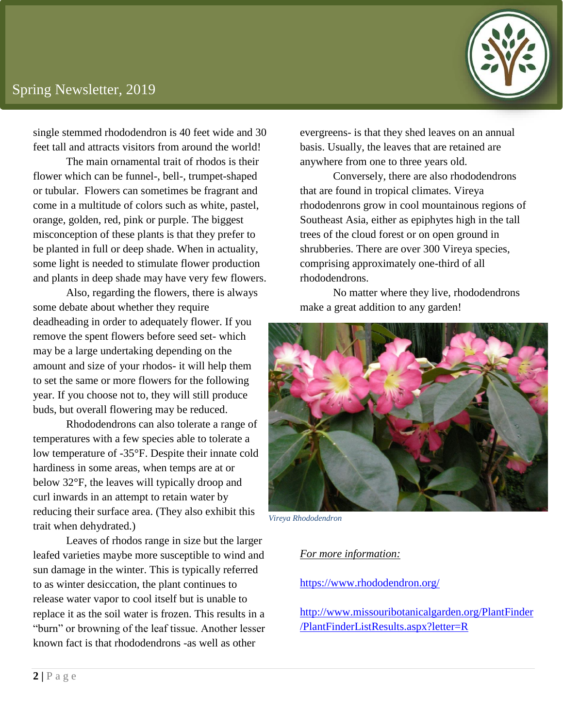

single stemmed rhododendron is 40 feet wide and 30 feet tall and attracts visitors from around the world!

The main ornamental trait of rhodos is their flower which can be funnel-, bell-, trumpet-shaped or tubular. Flowers can sometimes be fragrant and come in a multitude of colors such as white, pastel, orange, golden, red, pink or purple. The biggest misconception of these plants is that they prefer to be planted in full or deep shade. When in actuality, some light is needed to stimulate flower production and plants in deep shade may have very few flowers.

Also, regarding the flowers, there is always some debate about whether they require deadheading in order to adequately flower. If you remove the spent flowers before seed set- which may be a large undertaking depending on the amount and size of your rhodos- it will help them to set the same or more flowers for the following year. If you choose not to, they will still produce buds, but overall flowering may be reduced.

Rhododendrons can also tolerate a range of temperatures with a few species able to tolerate a low temperature of -35°F. Despite their innate cold hardiness in some areas, when temps are at or below 32°F, the leaves will typically droop and curl inwards in an attempt to retain water by reducing their surface area. (They also exhibit this trait when dehydrated.)

Leaves of rhodos range in size but the larger leafed varieties maybe more susceptible to wind and sun damage in the winter. This is typically referred to as winter desiccation, the plant continues to release water vapor to cool itself but is unable to replace it as the soil water is frozen. This results in a "burn" or browning of the leaf tissue. Another lesser known fact is that rhododendrons -as well as other

evergreens- is that they shed leaves on an annual basis. Usually, the leaves that are retained are anywhere from one to three years old.

Conversely, there are also rhododendrons that are found in tropical climates. Vireya rhododenrons grow in cool mountainous regions of Southeast Asia, either as epiphytes high in the tall trees of the cloud forest or on open ground in shrubberies. There are over 300 Vireya species, comprising approximately one-third of all rhododendrons.

No matter where they live, rhododendrons make a great addition to any garden!



*Vireya Rhododendron*

#### *For more information:*

<https://www.rhododendron.org/>

[http://www.missouribotanicalgarden.org/PlantFinder](http://www.missouribotanicalgarden.org/PlantFinder/PlantFinderListResults.aspx?letter=R) [/PlantFinderListResults.aspx?letter=R](http://www.missouribotanicalgarden.org/PlantFinder/PlantFinderListResults.aspx?letter=R)